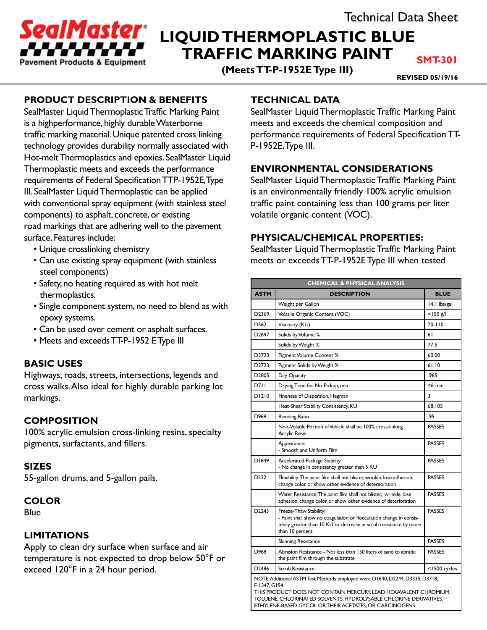

# **LIQUID THERMOPLASTIC BLUE TRAFFIC MARKING PAINT**

**(Meets TT-P-1952E Type III)**

**SMT-301**

**REVISED 05/19/16**

# **PRODUCT DESCRIPTION & BENEFITS**

SealMaster Liquid Thermoplastic Traffic Marking Paint is a highperformance, highly durable Waterborne traffic marking material. Unique patented cross linking technology provides durability normally associated with Hot-melt Thermoplastics and epoxies. SealMaster Liquid Thermoplastic meets and exceeds the performance requirements of Federal Specification TTP-1952E, Type III. SealMaster Liquid Thermoplastic can be applied with conventional spray equipment (with stainless steel components) to asphalt, concrete, or existing road markings that are adhering well to the pavement surface. Features include:

- Unique crosslinking chemistry
- Can use existing spray equipment (with stainless steel components)
- Safety, no heating required as with hot melt thermoplastics.
- Single component system, no need to blend as with epoxy systems.
- Can be used over cement or asphalt surfaces.
- Meets and exceeds TT-P-1952 E Type III

# **BASIC USES**

Highways, roads, streets, intersections, legends and cross walks. Also ideal for highly durable parking lot markings.

# **COMPOSITION**

100% acrylic emulsion cross-linking resins, specialty pigments, surfactants, and fillers.

### **SIZES**

55-gallon drums, and 5-gallon pails.

### **COLOR**

**Blue** 

### **LIMITATIONS**

Apply to clean dry surface when surface and air temperature is not expected to drop below 50°F or exceed 120°F in a 24 hour period.

# **TECHNICAL DATA**

SealMaster Liquid Thermoplastic Traffic Marking Paint meets and exceeds the chemical composition and performance requirements of Federal Specification TT-P-1952E, Type III.

## **ENVIRONMENTAL CONSIDERATIONS**

SealMaster Liquid Thermoplastic Traffic Marking Paint is an environmentally friendly 100% acrylic emulsion traffic paint containing less than 100 grams per liter volatile organic content (VOC).

### **PHYSICAL/CHEMICAL PROPERTIES:**

SealMaster Liquid Thermoplastic Traffic Marking Paint meets or exceeds TT-P-1952E Type III when tested

| <b>CHEMICAL &amp; PHYSICAL ANALYSIS</b>                                                                                                                                                                                                 |                                                                                                                                                                                      |               |
|-----------------------------------------------------------------------------------------------------------------------------------------------------------------------------------------------------------------------------------------|--------------------------------------------------------------------------------------------------------------------------------------------------------------------------------------|---------------|
| <b>ASTM</b>                                                                                                                                                                                                                             | <b>DESCRIPTION</b>                                                                                                                                                                   | <b>BLUE</b>   |
|                                                                                                                                                                                                                                         | Weight per Gallon                                                                                                                                                                    | 14.1 lbs/gal  |
| D2369                                                                                                                                                                                                                                   | Volatile Organic Content (VOC)                                                                                                                                                       | $<$ 150 g/l   |
| D562                                                                                                                                                                                                                                    | Viscosity (KU)                                                                                                                                                                       | 70-110        |
| D <sub>2697</sub>                                                                                                                                                                                                                       | Solids by Volume %                                                                                                                                                                   | 61            |
|                                                                                                                                                                                                                                         | Solids by Weight %                                                                                                                                                                   | 77.5          |
| D3723                                                                                                                                                                                                                                   | Pigment Volume Content %                                                                                                                                                             | 60.00         |
| D3723                                                                                                                                                                                                                                   | Pigment Solids by Weight %                                                                                                                                                           | 61.10         |
| D <sub>2805</sub>                                                                                                                                                                                                                       | Dry Opacity                                                                                                                                                                          | .965          |
| D711                                                                                                                                                                                                                                    | Drying Time for No Pickup, min                                                                                                                                                       | $<$ 6 min     |
| D1210                                                                                                                                                                                                                                   | Fineness of Dispersion, Hegman                                                                                                                                                       | 3             |
|                                                                                                                                                                                                                                         | Heat-Shear Stability Consistency, KU                                                                                                                                                 | 68,105        |
| D969                                                                                                                                                                                                                                    | <b>Bleeding Ratio</b>                                                                                                                                                                | .95           |
|                                                                                                                                                                                                                                         | Non-Volatile Portion of Vehicle shall be 100% cross-linking<br>Acrylic Resin                                                                                                         | <b>PASSES</b> |
|                                                                                                                                                                                                                                         | Appearance:<br>- Smooth and Uniform Film                                                                                                                                             | <b>PASSES</b> |
| D1849                                                                                                                                                                                                                                   | Accelerated Package Stability:<br>- No change in consistency greater than 5 KU                                                                                                       | <b>PASSES</b> |
| D522                                                                                                                                                                                                                                    | Flexibility: The paint film shall not blister, wrinkle, lose adhesion,<br>change color, or show other evidence of detereoration                                                      | <b>PASSES</b> |
|                                                                                                                                                                                                                                         | Water Resistance: The paint film shall not blister, wrinkle, lose<br>adhesion, change color, or show other evidence of deterioration                                                 | <b>PASSES</b> |
| D <sub>2243</sub>                                                                                                                                                                                                                       | Freeze-Thaw Stability:<br>- Paint shall show no coagulation or flocculation change in consis-<br>tency greater than 10 KU or decrease in scrub resistance by more<br>than 10 percent | <b>PASSES</b> |
|                                                                                                                                                                                                                                         | <b>Skinning Resistance</b>                                                                                                                                                           | <b>PASSES</b> |
| D968                                                                                                                                                                                                                                    | Abrasion Resistance - Not less than 150 liters of sand to abrade<br>the paint film through the substrate                                                                             | <b>PASSES</b> |
| D2486                                                                                                                                                                                                                                   | Scrub Resistance                                                                                                                                                                     | <1500 cycles  |
| NOTE: Additional ASTM Test Methods employed were D1640, D2244, D3335, D3718,<br>E-1347, G154.<br>THIS PRODUCT DOES NOT CONTAIN MERCURY, LEAD, HEXAVALENT CHROMIUM,<br>TOLUENE, CHLORINATED SOLVENTS, HYDROLYSABLE CHLORINE DERIVATIVES, |                                                                                                                                                                                      |               |

ETHYLENE-BASED GYCOL OR THEIR ACETATES, OR CARCINOGENS.